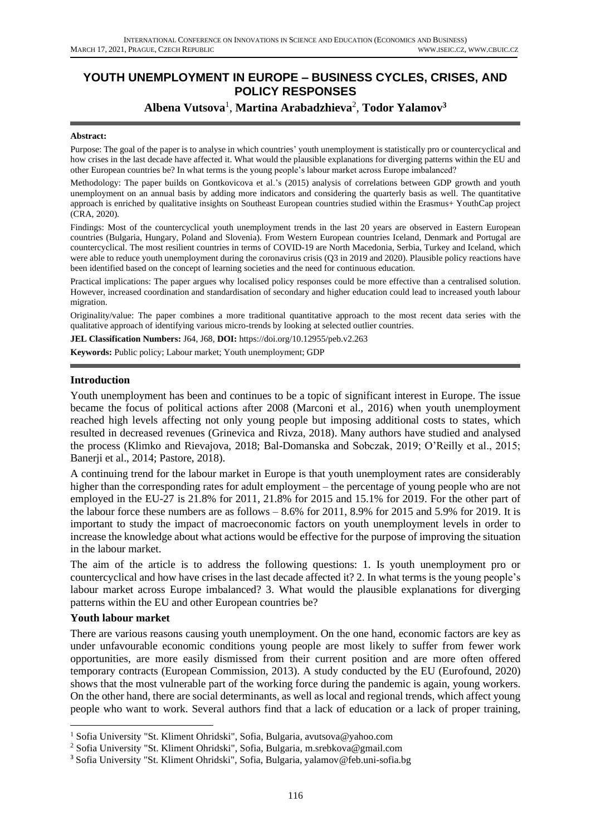# **YOUTH UNEMPLOYMENT IN EUROPE – BUSINESS CYCLES, CRISES, AND POLICY RESPONSES**

# **Albena Vutsova**<sup>1</sup> , **Martina Arabadzhieva**<sup>2</sup> , **Todor Yalamov<sup>3</sup>**

#### **Abstract:**

Purpose: The goal of the paper is to analyse in which countries' youth unemployment is statistically pro or countercyclical and how crises in the last decade have affected it. What would the plausible explanations for diverging patterns within the EU and other European countries be? In what terms is the young people's labour market across Europe imbalanced?

Methodology: The paper builds on Gontkovicova et al.'s (2015) analysis of correlations between GDP growth and youth unemployment on an annual basis by adding more indicators and considering the quarterly basis as well. The quantitative approach is enriched by qualitative insights on Southeast European countries studied within the Erasmus+ YouthCap project (CRA, 2020).

Findings: Most of the countercyclical youth unemployment trends in the last 20 years are observed in Eastern European countries (Bulgaria, Hungary, Poland and Slovenia). From Western European countries Iceland, Denmark and Portugal are countercyclical. The most resilient countries in terms of COVID-19 are North Macedonia, Serbia, Turkey and Iceland, which were able to reduce youth unemployment during the coronavirus crisis (Q3 in 2019 and 2020). Plausible policy reactions have been identified based on the concept of learning societies and the need for continuous education.

Practical implications: The paper argues why localised policy responses could be more effective than a centralised solution. However, increased coordination and standardisation of secondary and higher education could lead to increased youth labour migration.

Originality/value: The paper combines a more traditional quantitative approach to the most recent data series with the qualitative approach of identifying various micro-trends by looking at selected outlier countries.

**JEL Classification Numbers:** J64, J68, **DOI:** https://doi.org/10.12955/peb.v2.263

**Keywords:** Public policy; Labour market; Youth unemployment; GDP

#### **Introduction**

Youth unemployment has been and continues to be a topic of significant interest in Europe. The issue became the focus of political actions after 2008 (Marconi et al., 2016) when youth unemployment reached high levels affecting not only young people but imposing additional costs to states, which resulted in decreased revenues (Grinevica and Rivza, 2018). Many authors have studied and analysed the process (Klimko and Rievajova, 2018; Bal-Domanska and Sobczak, 2019; O'Reilly et al., 2015; Banerji et al., 2014; Pastore, 2018).

A continuing trend for the labour market in Europe is that youth unemployment rates are considerably higher than the corresponding rates for adult employment – the percentage of young people who are not employed in the EU-27 is 21.8% for 2011, 21.8% for 2015 and 15.1% for 2019. For the other part of the labour force these numbers are as follows – 8.6% for 2011, 8.9% for 2015 and 5.9% for 2019. It is important to study the impact of macroeconomic factors on youth unemployment levels in order to increase the knowledge about what actions would be effective for the purpose of improving the situation in the labour market.

The aim of the article is to address the following questions: 1. Is youth unemployment pro or countercyclical and how have crises in the last decade affected it? 2. In what terms is the young people's labour market across Europe imbalanced? 3. What would the plausible explanations for diverging patterns within the EU and other European countries be?

#### **Youth labour market**

There are various reasons causing youth unemployment. On the one hand, economic factors are key as under unfavourable economic conditions young people are most likely to suffer from fewer work opportunities, are more easily dismissed from their current position and are more often offered temporary contracts (European Commission, 2013). A study conducted by the EU (Eurofound, 2020) shows that the most vulnerable part of the working force during the pandemic is again, young workers. On the other hand, there are social determinants, as well as local and regional trends, which affect young people who want to work. Several authors find that a lack of education or a lack of proper training,

 $^1$  Sofia University "St. Kliment Ohridski", Sofia, Bulgaria, avutsova@yahoo.com

<sup>2</sup> Sofia University "St. Kliment Ohridski", Sofia, Bulgaria, m.srebkova@gmail.com

<sup>3</sup> Sofia University "St. Kliment Ohridski", Sofia, Bulgaria, yalamov@feb.uni-sofia.bg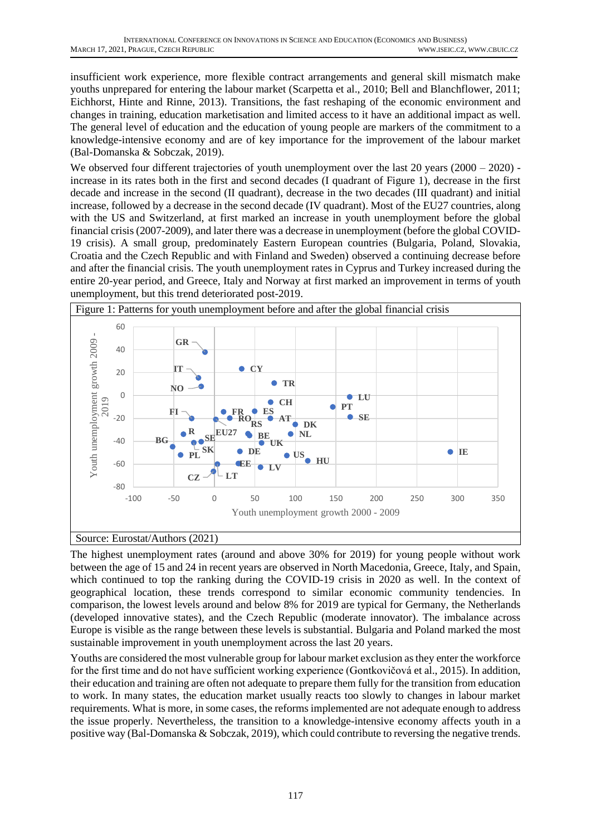insufficient work experience, more flexible contract arrangements and general skill mismatch make youths unprepared for entering the labour market (Scarpetta et al., 2010; Bell and Blanchflower, 2011; Eichhorst, Hinte and Rinne, 2013). Transitions, the fast reshaping of the economic environment and changes in training, education marketisation and limited access to it have an additional impact as well. The general level of education and the education of young people are markers of the commitment to a knowledge-intensive economy and are of key importance for the improvement of the labour market (Bal-Domanska & Sobczak, 2019).

We observed four different trajectories of youth unemployment over the last 20 years (2000 – 2020) increase in its rates both in the first and second decades (I quadrant of Figure 1), decrease in the first decade and increase in the second (II quadrant), decrease in the two decades (III quadrant) and initial increase, followed by a decrease in the second decade (IV quadrant). Most of the EU27 countries, along with the US and Switzerland, at first marked an increase in youth unemployment before the global financial crisis (2007-2009), and later there was a decrease in unemployment (before the global COVID-19 crisis). A small group, predominately Eastern European countries (Bulgaria, Poland, Slovakia, Croatia and the Czech Republic and with Finland and Sweden) observed a continuing decrease before and after the financial crisis. The youth unemployment rates in Cyprus and Turkey increased during the entire 20-year period, and Greece, Italy and Norway at first marked an improvement in terms of youth unemployment, but this trend deteriorated post-2019.



The highest unemployment rates (around and above 30% for 2019) for young people without work between the age of 15 and 24 in recent years are observed in North Macedonia, Greece, Italy, and Spain, which continued to top the ranking during the COVID-19 crisis in 2020 as well. In the context of geographical location, these trends correspond to similar economic community tendencies. In comparison, the lowest levels around and below 8% for 2019 are typical for Germany, the Netherlands (developed innovative states), and the Czech Republic (moderate innovator). The imbalance across Europe is visible as the range between these levels is substantial. Bulgaria and Poland marked the most sustainable improvement in youth unemployment across the last 20 years.

Youths are considered the most vulnerable group for labour market exclusion as they enter the workforce for the first time and do not have sufficient working experience (Gontkovičová et al., 2015). In addition, their education and training are often not adequate to prepare them fully for the transition from education to work. In many states, the education market usually reacts too slowly to changes in labour market requirements. What is more, in some cases, the reforms implemented are not adequate enough to address the issue properly. Nevertheless, the transition to a knowledge-intensive economy affects youth in a positive way (Bal-Domanska & Sobczak, 2019), which could contribute to reversing the negative trends.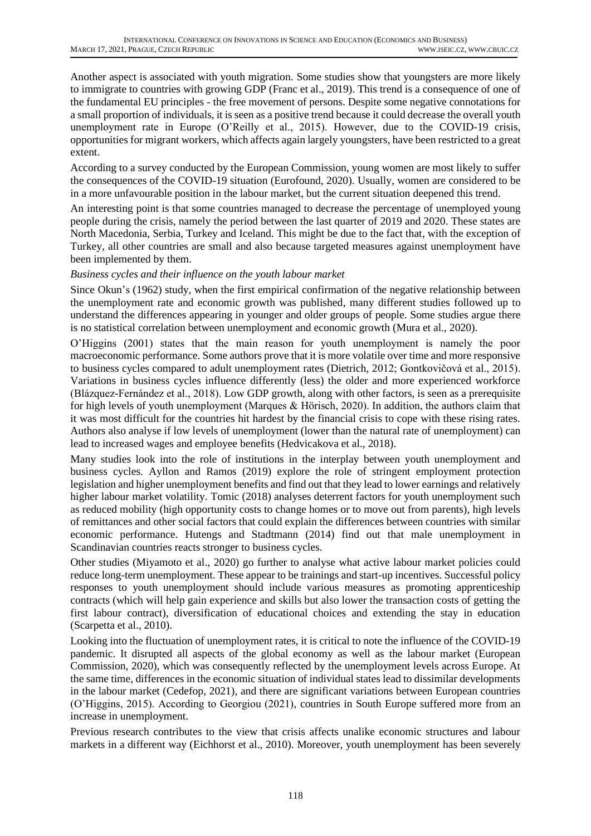Another aspect is associated with youth migration. Some studies show that youngsters are more likely to immigrate to countries with growing GDP (Franc et al., 2019). This trend is a consequence of one of the fundamental EU principles - the free movement of persons. Despite some negative connotations for a small proportion of individuals, it is seen as a positive trend because it could decrease the overall youth unemployment rate in Europe (O'Reilly et al., 2015). However, due to the COVID-19 crisis, opportunities for migrant workers, which affects again largely youngsters, have been restricted to a great extent.

According to a survey conducted by the European Commission, young women are most likely to suffer the consequences of the COVID-19 situation (Eurofound, 2020). Usually, women are considered to be in a more unfavourable position in the labour market, but the current situation deepened this trend.

An interesting point is that some countries managed to decrease the percentage of unemployed young people during the crisis, namely the period between the last quarter of 2019 and 2020. These states are North Macedonia, Serbia, Turkey and Iceland. This might be due to the fact that, with the exception of Turkey, all other countries are small and also because targeted measures against unemployment have been implemented by them.

#### *Business cycles and their influence on the youth labour market*

Since Okun's (1962) study, when the first empirical confirmation of the negative relationship between the unemployment rate and economic growth was published, many different studies followed up to understand the differences appearing in younger and older groups of people. Some studies argue there is no statistical correlation between unemployment and economic growth (Mura et al., 2020).

O'Higgins (2001) states that the main reason for youth unemployment is namely the poor macroeconomic performance. Some authors prove that it is more volatile over time and more responsive to business cycles compared to adult unemployment rates (Dietrich, 2012; Gontkovičová et al., 2015). Variations in business cycles influence differently (less) the older and more experienced workforce (Blázquez-Fernández et al., 2018). Low GDP growth, along with other factors, is seen as a prerequisite for high levels of youth unemployment (Marques & Hörisch, 2020). In addition, the authors claim that it was most difficult for the countries hit hardest by the financial crisis to cope with these rising rates. Authors also analyse if low levels of unemployment (lower than the natural rate of unemployment) can lead to increased wages and employee benefits (Hedvicakova et al., 2018).

Many studies look into the role of institutions in the interplay between youth unemployment and business cycles. Ayllon and Ramos (2019) explore the role of stringent employment protection legislation and higher unemployment benefits and find out that they lead to lower earnings and relatively higher labour market volatility. Tomic (2018) analyses deterrent factors for youth unemployment such as reduced mobility (high opportunity costs to change homes or to move out from parents), high levels of remittances and other social factors that could explain the differences between countries with similar economic performance. Hutengs and Stadtmann (2014) find out that male unemployment in Scandinavian countries reacts stronger to business cycles.

Other studies (Miyamoto et al., 2020) go further to analyse what active labour market policies could reduce long-term unemployment. These appear to be trainings and start-up incentives. Successful policy responses to youth unemployment should include various measures as promoting apprenticeship contracts (which will help gain experience and skills but also lower the transaction costs of getting the first labour contract), diversification of educational choices and extending the stay in education (Scarpetta et al., 2010).

Looking into the fluctuation of unemployment rates, it is critical to note the influence of the COVID-19 pandemic. It disrupted all aspects of the global economy as well as the labour market (European Commission, 2020), which was consequently reflected by the unemployment levels across Europe. At the same time, differences in the economic situation of individual states lead to dissimilar developments in the labour market (Cedefop, 2021), and there are significant variations between European countries (O'Higgins, 2015). According to Georgiou (2021), countries in South Europe suffered more from an increase in unemployment.

Previous research contributes to the view that crisis affects unalike economic structures and labour markets in a different way (Eichhorst et al., 2010). Moreover, youth unemployment has been severely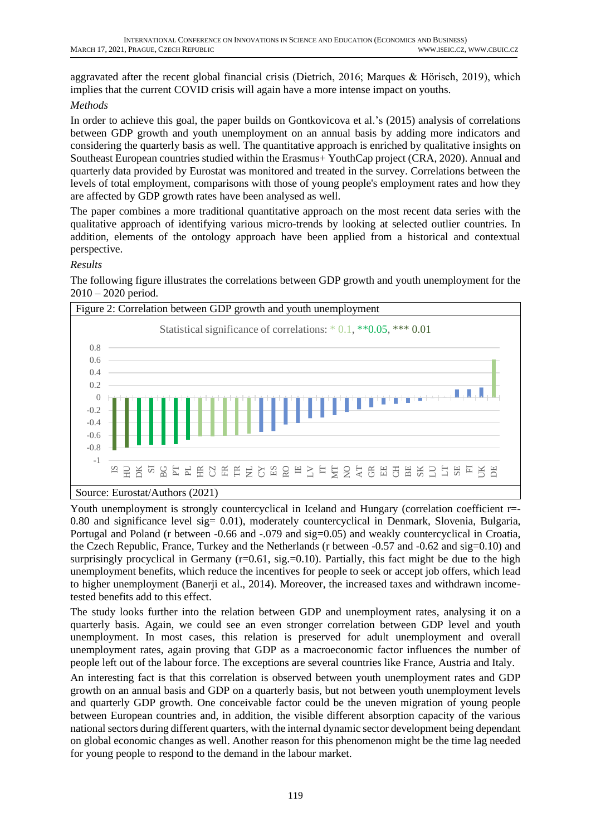aggravated after the recent global financial crisis (Dietrich, 2016; Marques & Hörisch, 2019), which implies that the current COVID crisis will again have a more intense impact on youths.

### *Methods*

In order to achieve this goal, the paper builds on Gontkovicova et al.'s (2015) analysis of correlations between GDP growth and youth unemployment on an annual basis by adding more indicators and considering the quarterly basis as well. The quantitative approach is enriched by qualitative insights on Southeast European countries studied within the Erasmus+ YouthCap project (CRA, 2020). Annual and quarterly data provided by Eurostat was monitored and treated in the survey. Correlations between the levels of total employment, comparisons with those of young people's employment rates and how they are affected by GDP growth rates have been analysed as well.

The paper combines a more traditional quantitative approach on the most recent data series with the qualitative approach of identifying various micro-trends by looking at selected outlier countries. In addition, elements of the ontology approach have been applied from a historical and contextual perspective.

## *Results*

The following figure illustrates the correlations between GDP growth and youth unemployment for the  $2010 - 2020$  period.



Youth unemployment is strongly countercyclical in Iceland and Hungary (correlation coefficient r=- 0.80 and significance level sig= 0.01), moderately countercyclical in Denmark, Slovenia, Bulgaria, Portugal and Poland (r between -0.66 and -.079 and sig=0.05) and weakly countercyclical in Croatia, the Czech Republic, France, Turkey and the Netherlands (r between -0.57 and -0.62 and sig=0.10) and surprisingly procyclical in Germany ( $r=0.61$ , sig. $=0.10$ ). Partially, this fact might be due to the high unemployment benefits, which reduce the incentives for people to seek or accept job offers, which lead to higher unemployment (Banerji et al., 2014). Moreover, the increased taxes and withdrawn incometested benefits add to this effect.

The study looks further into the relation between GDP and unemployment rates, analysing it on a quarterly basis. Again, we could see an even stronger correlation between GDP level and youth unemployment. In most cases, this relation is preserved for adult unemployment and overall unemployment rates, again proving that GDP as a macroeconomic factor influences the number of people left out of the labour force. The exceptions are several countries like France, Austria and Italy.

An interesting fact is that this correlation is observed between youth unemployment rates and GDP growth on an annual basis and GDP on a quarterly basis, but not between youth unemployment levels and quarterly GDP growth. One conceivable factor could be the uneven migration of young people between European countries and, in addition, the visible different absorption capacity of the various national sectors during different quarters, with the internal dynamic sector development being dependant on global economic changes as well. Another reason for this phenomenon might be the time lag needed for young people to respond to the demand in the labour market.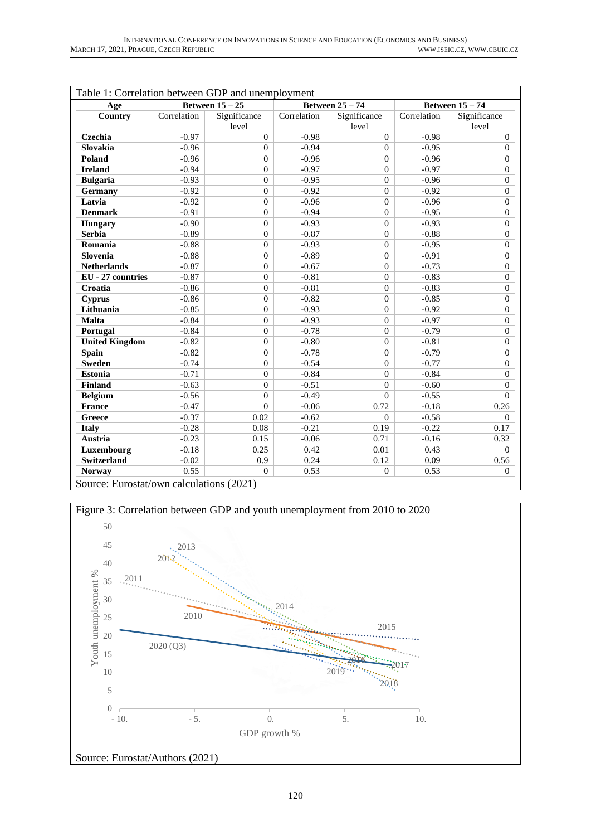| Table 1: Correlation between GDP and unemployment |                   |                  |                        |                  |                        |                  |
|---------------------------------------------------|-------------------|------------------|------------------------|------------------|------------------------|------------------|
| Age                                               | Between $15 - 25$ |                  | <b>Between 25 - 74</b> |                  | <b>Between 15 - 74</b> |                  |
| Country                                           | Correlation       | Significance     | Correlation            | Significance     | Correlation            | Significance     |
|                                                   |                   | level            |                        | level            |                        | level            |
| Czechia                                           | $-0.97$           | $\mathbf{0}$     | $-0.98$                | $\mathbf{0}$     | $-0.98$                | $\mathbf{0}$     |
| <b>Slovakia</b>                                   | $-0.96$           | $\mathbf{0}$     | $-0.94$                | $\overline{0}$   | $-0.95$                | $\mathbf{0}$     |
| Poland                                            | $-0.96$           | $\mathbf{0}$     | $-0.96$                | $\overline{0}$   | $-0.96$                | $\mathbf{0}$     |
| <b>Ireland</b>                                    | $-0.94$           | $\mathbf{0}$     | $-0.97$                | $\mathbf{0}$     | $-0.97$                | $\mathbf{0}$     |
| <b>Bulgaria</b>                                   | $-0.93$           | $\mathbf{0}$     | $-0.95$                | $\overline{0}$   | $-0.96$                | $\boldsymbol{0}$ |
| Germany                                           | $-0.92$           | $\mathbf{0}$     | $-0.92$                | $\mathbf{0}$     | $-0.92$                | $\mathbf{0}$     |
| Latvia                                            | $-0.92$           | $\mathbf{0}$     | $-0.96$                | $\mathbf{0}$     | $-0.96$                | $\mathbf{0}$     |
| <b>Denmark</b>                                    | $-0.91$           | $\mathbf{0}$     | $-0.94$                | $\overline{0}$   | $-0.95$                | $\boldsymbol{0}$ |
| Hungary                                           | $-0.90$           | $\mathbf{0}$     | $-0.93$                | $\mathbf{0}$     | $-0.93$                | $\mathbf{0}$     |
| <b>Serbia</b>                                     | $-0.89$           | $\mathbf{0}$     | $-0.87$                | $\mathbf{0}$     | $-0.88$                | $\mathbf{0}$     |
| Romania                                           | $-0.88$           | $\boldsymbol{0}$ | $-0.93$                | $\overline{0}$   | $-0.95$                | $\boldsymbol{0}$ |
| Slovenia                                          | $-0.88$           | $\mathbf{0}$     | $-0.89$                | $\mathbf{0}$     | $-0.91$                | $\mathbf{0}$     |
| <b>Netherlands</b>                                | $-0.87$           | $\mathbf{0}$     | $-0.67$                | $\overline{0}$   | $-0.73$                | $\mathbf{0}$     |
| EU - 27 countries                                 | $-0.87$           | $\mathbf{0}$     | $-0.81$                | $\overline{0}$   | $-0.83$                | $\boldsymbol{0}$ |
| Croatia                                           | $-0.86$           | $\mathbf{0}$     | $-0.81$                | $\mathbf{0}$     | $-0.83$                | $\mathbf{0}$     |
| <b>Cyprus</b>                                     | $-0.86$           | $\mathbf{0}$     | $-0.82$                | $\mathbf{0}$     | $-0.85$                | $\mathbf{0}$     |
| Lithuania                                         | $-0.85$           | $\mathbf{0}$     | $-0.93$                | $\boldsymbol{0}$ | $-0.92$                | $\boldsymbol{0}$ |
| Malta                                             | $-0.84$           | $\mathbf{0}$     | $-0.93$                | $\mathbf{0}$     | $-0.97$                | $\mathbf{0}$     |
| Portugal                                          | $-0.84$           | $\mathbf{0}$     | $-0.78$                | $\mathbf{0}$     | $-0.79$                | $\mathbf{0}$     |
| <b>United Kingdom</b>                             | $-0.82$           | $\mathbf{0}$     | $-0.80$                | $\mathbf{0}$     | $-0.81$                | $\boldsymbol{0}$ |
| <b>Spain</b>                                      | $-0.82$           | $\mathbf{0}$     | $-0.78$                | $\overline{0}$   | $-0.79$                | $\mathbf{0}$     |
| <b>Sweden</b>                                     | $-0.74$           | $\mathbf{0}$     | $-0.54$                | $\mathbf{0}$     | $-0.77$                | $\mathbf{0}$     |
| <b>Estonia</b>                                    | $-0.71$           | $\mathbf{0}$     | $-0.84$                | $\mathbf{0}$     | $-0.84$                | $\boldsymbol{0}$ |
| <b>Finland</b>                                    | $-0.63$           | $\mathbf{0}$     | $-0.51$                | $\mathbf{0}$     | $-0.60$                | $\boldsymbol{0}$ |
| <b>Belgium</b>                                    | $-0.56$           | $\boldsymbol{0}$ | $-0.49$                | $\overline{0}$   | $-0.55$                | $\overline{0}$   |
| <b>France</b>                                     | $-0.47$           | $\mathbf{0}$     | $-0.06$                | 0.72             | $-0.18$                | 0.26             |
| <b>Greece</b>                                     | $-0.37$           | 0.02             | $-0.62$                | $\overline{0}$   | $-0.58$                | $\mathbf{0}$     |
| <b>Italy</b>                                      | $-0.28$           | 0.08             | $-0.21$                | 0.19             | $-0.22$                | 0.17             |
| Austria                                           | $-0.23$           | 0.15             | $-0.06$                | 0.71             | $-0.16$                | 0.32             |
| Luxembourg                                        | $-0.18$           | 0.25             | 0.42                   | $0.01\,$         | 0.43                   | $\mathbf{0}$     |
| <b>Switzerland</b>                                | $-0.02$           | 0.9              | 0.24                   | 0.12             | 0.09                   | 0.56             |
| <b>Norway</b>                                     | 0.55              | $\boldsymbol{0}$ | 0.53                   | $\boldsymbol{0}$ | 0.53                   | $\boldsymbol{0}$ |
| Source: Eurostat/own calculations (2021)          |                   |                  |                        |                  |                        |                  |

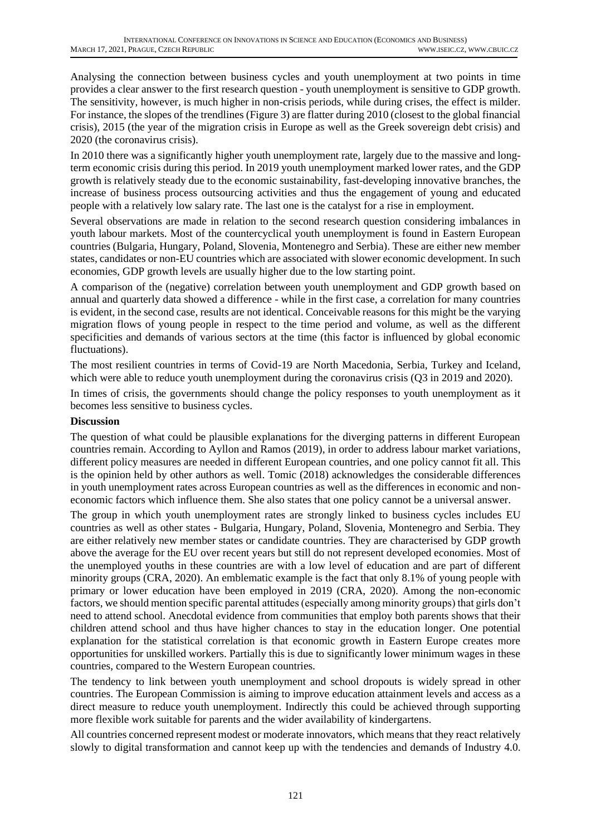Analysing the connection between business cycles and youth unemployment at two points in time provides a clear answer to the first research question - youth unemployment is sensitive to GDP growth. The sensitivity, however, is much higher in non-crisis periods, while during crises, the effect is milder. For instance, the slopes of the trendlines (Figure 3) are flatter during 2010 (closest to the global financial crisis), 2015 (the year of the migration crisis in Europe as well as the Greek sovereign debt crisis) and 2020 (the coronavirus crisis).

In 2010 there was a significantly higher youth unemployment rate, largely due to the massive and longterm economic crisis during this period. In 2019 youth unemployment marked lower rates, and the GDP growth is relatively steady due to the economic sustainability, fast-developing innovative branches, the increase of business process outsourcing activities and thus the engagement of young and educated people with a relatively low salary rate. The last one is the catalyst for a rise in employment.

Several observations are made in relation to the second research question considering imbalances in youth labour markets. Most of the countercyclical youth unemployment is found in Eastern European countries (Bulgaria, Hungary, Poland, Slovenia, Montenegro and Serbia). These are either new member states, candidates or non-EU countries which are associated with slower economic development. In such economies, GDP growth levels are usually higher due to the low starting point.

A comparison of the (negative) correlation between youth unemployment and GDP growth based on annual and quarterly data showed a difference - while in the first case, a correlation for many countries is evident, in the second case, results are not identical. Conceivable reasons for this might be the varying migration flows of young people in respect to the time period and volume, as well as the different specificities and demands of various sectors at the time (this factor is influenced by global economic fluctuations).

The most resilient countries in terms of Covid-19 are North Macedonia, Serbia, Turkey and Iceland, which were able to reduce youth unemployment during the coronavirus crisis (Q3 in 2019 and 2020).

In times of crisis, the governments should change the policy responses to youth unemployment as it becomes less sensitive to business cycles.

### **Discussion**

The question of what could be plausible explanations for the diverging patterns in different European countries remain. According to Ayllon and Ramos (2019), in order to address labour market variations, different policy measures are needed in different European countries, and one policy cannot fit all. This is the opinion held by other authors as well. Tomic (2018) acknowledges the considerable differences in youth unemployment rates across European countries as well as the differences in economic and noneconomic factors which influence them. She also states that one policy cannot be a universal answer.

The group in which youth unemployment rates are strongly linked to business cycles includes EU countries as well as other states - Bulgaria, Hungary, Poland, Slovenia, Montenegro and Serbia. They are either relatively new member states or candidate countries. They are characterised by GDP growth above the average for the EU over recent years but still do not represent developed economies. Most of the unemployed youths in these countries are with a low level of education and are part of different minority groups (CRA, 2020). An emblematic example is the fact that only 8.1% of young people with primary or lower education have been employed in 2019 (CRA, 2020). Among the non-economic factors, we should mention specific parental attitudes (especially among minority groups) that girls don't need to attend school. Anecdotal evidence from communities that employ both parents shows that their children attend school and thus have higher chances to stay in the education longer. One potential explanation for the statistical correlation is that economic growth in Eastern Europe creates more opportunities for unskilled workers. Partially this is due to significantly lower minimum wages in these countries, compared to the Western European countries.

The tendency to link between youth unemployment and school dropouts is widely spread in other countries. The European Commission is aiming to improve education attainment levels and access as a direct measure to reduce youth unemployment. Indirectly this could be achieved through supporting more flexible work suitable for parents and the wider availability of kindergartens.

All countries concerned represent modest or moderate innovators, which means that they react relatively slowly to digital transformation and cannot keep up with the tendencies and demands of Industry 4.0.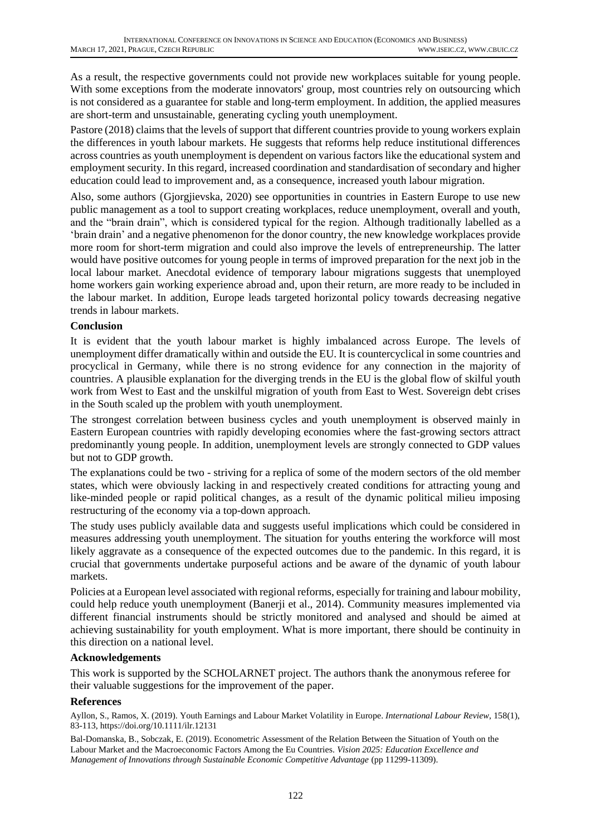As a result, the respective governments could not provide new workplaces suitable for young people. With some exceptions from the moderate innovators' group, most countries rely on outsourcing which is not considered as a guarantee for stable and long-term employment. In addition, the applied measures are short-term and unsustainable, generating cycling youth unemployment.

Pastore (2018) claims that the levels of support that different countries provide to young workers explain the differences in youth labour markets. He suggests that reforms help reduce institutional differences across countries as youth unemployment is dependent on various factors like the educational system and employment security. In this regard, increased coordination and standardisation of secondary and higher education could lead to improvement and, as a consequence, increased youth labour migration.

Also, some authors (Gjorgjievska, 2020) see opportunities in countries in Eastern Europe to use new public management as a tool to support creating workplaces, reduce unemployment, overall and youth, and the "brain drain", which is considered typical for the region. Although traditionally labelled as a 'brain drain' and a negative phenomenon for the donor country, the new knowledge workplaces provide more room for short-term migration and could also improve the levels of entrepreneurship. The latter would have positive outcomes for young people in terms of improved preparation for the next job in the local labour market. Anecdotal evidence of temporary labour migrations suggests that unemployed home workers gain working experience abroad and, upon their return, are more ready to be included in the labour market. In addition, Europe leads targeted horizontal policy towards decreasing negative trends in labour markets.

### **Conclusion**

It is evident that the youth labour market is highly imbalanced across Europe. The levels of unemployment differ dramatically within and outside the EU. It is countercyclical in some countries and procyclical in Germany, while there is no strong evidence for any connection in the majority of countries. A plausible explanation for the diverging trends in the EU is the global flow of skilful youth work from West to East and the unskilful migration of youth from East to West. Sovereign debt crises in the South scaled up the problem with youth unemployment.

The strongest correlation between business cycles and youth unemployment is observed mainly in Eastern European countries with rapidly developing economies where the fast-growing sectors attract predominantly young people. In addition, unemployment levels are strongly connected to GDP values but not to GDP growth.

The explanations could be two - striving for a replica of some of the modern sectors of the old member states, which were obviously lacking in and respectively created conditions for attracting young and like-minded people or rapid political changes, as a result of the dynamic political milieu imposing restructuring of the economy via a top-down approach.

The study uses publicly available data and suggests useful implications which could be considered in measures addressing youth unemployment. The situation for youths entering the workforce will most likely aggravate as a consequence of the expected outcomes due to the pandemic. In this regard, it is crucial that governments undertake purposeful actions and be aware of the dynamic of youth labour markets.

Policies at a European level associated with regional reforms, especially for training and labour mobility, could help reduce youth unemployment (Banerji et al., 2014). Community measures implemented via different financial instruments should be strictly monitored and analysed and should be aimed at achieving sustainability for youth employment. What is more important, there should be continuity in this direction on a national level.

#### **Acknowledgements**

This work is supported by the SCHOLARNET project. The authors thank the anonymous referee for their valuable suggestions for the improvement of the paper.

### **References**

Ayllon, S., Ramos, X. (2019). Youth Earnings and Labour Market Volatility in Europe. *International Labour Review*, 158(1), 83-113, https://doi.org/10.1111/ilr.12131

Bal-Domanska, B., Sobczak, E. (2019). Econometric Assessment of the Relation Between the Situation of Youth on the Labour Market and the Macroeconomic Factors Among the Eu Countries. *Vision 2025: Education Excellence and Management of Innovations through Sustainable Economic Competitive Advantage* (pp 11299-11309).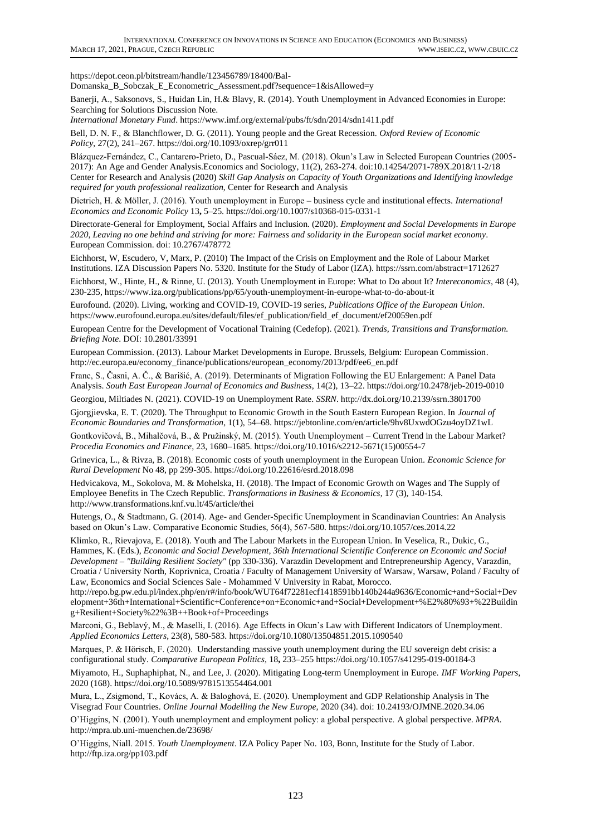https://depot.ceon.pl/bitstream/handle/123456789/18400/Bal-

Domanska\_B\_Sobczak\_E\_Econometric\_Assessment.pdf?sequence=1&isAllowed=y

Banerji, A., Saksonovs, S., Huidan Lin, H.& Blavy, R. (2014). Youth Unemployment in Advanced Economies in Europe: Searching for Solutions Discussion Note.

*International Monetary Fund*. https://www.imf.org/external/pubs/ft/sdn/2014/sdn1411.pdf

Bell, D. N. F., & Blanchflower, D. G. (2011). Young people and the Great Recession. *Oxford Review of Economic Policy*, 27(2), 241–267. https://doi.org/10.1093/oxrep/grr011

Blázquez-Fernández, C., Cantarero-Prieto, D., Pascual-Sáez, M. (2018). Okun's Law in Selected European Countries (2005- 2017): An Age and Gender Analysis.Economics and Sociology, 11(2), 263-274. doi:10.14254/2071-789X.2018/11-2/18 Center for Research and Analysis (2020) *Skill Gap Analysis on Capacity of Youth Organizations and Identifying knowledge required for youth professional realization*, Center for Research and Analysis

Dietrich, H. & Möller, J. (2016). Youth unemployment in Europe – business cycle and institutional effects. *International Economics and Economic Policy* 13**,** 5–25. https://doi.org/10.1007/s10368-015-0331-1

Directorate-General for Employment, Social Affairs and Inclusion. (2020). *Employment and Social Developments in Europe 2020, Leaving no one behind and striving for more: Fairness and solidarity in the European social market economy*. European Commission. doi: 10.2767/478772

Eichhorst, W, Escudero, V, Marx, P. (2010) The Impact of the Crisis on Employment and the Role of Labour Market Institutions. IZA Discussion Papers No. 5320. Institute for the Study of Labor (IZA). https://ssrn.com/abstract=1712627

Eichhorst, W., Hinte, H., & Rinne, U. (2013). Youth Unemployment in Europe: What to Do about It? *Intereconomics*, 48 (4), 230-235, https://www.iza.org/publications/pp/65/youth-unemployment-in-europe-what-to-do-about-it

Eurofound. (2020). Living, working and COVID-19, COVID-19 series, *Publications Office of the European Union*. https://www.eurofound.europa.eu/sites/default/files/ef\_publication/field\_ef\_document/ef20059en.pdf

European Centre for the Development of Vocational Training (Cedefop). (2021). *Trends, Transitions and Transformation. Briefing Note*. DOI: 10.2801/33991

European Commission. (2013). Labour Market Developments in Europe. Brussels, Belgium: European Commission. http://ec.europa.eu/economy\_finance/publications/european\_economy/2013/pdf/ee6\_en.pdf

Franc, S., Časni, A. Č., & Barišić, A. (2019). Determinants of Migration Following the EU Enlargement: A Panel Data Analysis. *South East European Journal of Economics and Business*, 14(2), 13–22. https://doi.org/10.2478/jeb-2019-0010 Georgiou, Miltiades N. (2021). COVID-19 on Unemployment Rate. *SSRN*. http://dx.doi.org/10.2139/ssrn.3801700

Gjorgjievska, E. T. (2020). The Throughput to Economic Growth in the South Eastern European Region. In *Journal of Economic Boundaries and Transformation*, 1(1), 54–68. https://jebtonline.com/en/article/9hv8UxwdOGzu4oyDZ1wL

Gontkovičová, B., Mihalčová, B., & Pružinský, M. (2015). Youth Unemployment – Current Trend in the Labour Market? *Procedia Economics and Finance*, 23, 1680–1685. https://doi.org/10.1016/s2212-5671(15)00554-7

Grinevica, L., & Rivza, B. (2018). Economic costs of youth unemployment in the European Union. *Economic Science for Rural Development* No 48, pp 299-305. https://doi.org/10.22616/esrd.2018.098

Hedvicakova, M., Sokolova, M. & Mohelska, H. (2018). The Impact of Economic Growth on Wages and The Supply of Employee Benefits in The Czech Republic. *Transformations in Business & Economics*, 17 (3), 140-154. http://www.transformations.knf.vu.lt/45/article/thei

Hutengs, O., & Stadtmann, G. (2014). Age- and Gender-Specific Unemployment in Scandinavian Countries: An Analysis based on Okun's Law. Comparative Economic Studies, 56(4), 567-580. https://doi.org/10.1057/ces.2014.22

Klimko, R., Rievajova, E. (2018). Youth and The Labour Markets in the European Union. In Veselica, R., Dukic, G., Hammes, K. (Eds.), *Economic and Social Development, 36th International Scientific Conference on Economic and Social Development – "Building Resilient Society"* (pp 330-336). Varazdin Development and Entrepreneurship Agency, Varazdin, Croatia / University North, Koprivnica, Croatia / Faculty of Management University of Warsaw, Warsaw, Poland / Faculty of Law, Economics and Social Sciences Sale - Mohammed V University in Rabat, Morocco.

http://repo.bg.pw.edu.pl/index.php/en/r#/info/book/WUT64f72281ecf1418591bb140b244a9636/Economic+and+Social+Dev elopment+36th+International+Scientific+Conference+on+Economic+and+Social+Development+%E2%80%93+%22Buildin g+Resilient+Society%22%3B++Book+of+Proceedings

Marconi, G., Beblavý, M., & Maselli, I. (2016). Age Effects in Okun's Law with Different Indicators of Unemployment. *Applied Economics Letters*, 23(8), 580-583. https://doi.org/10.1080/13504851.2015.1090540

Marques, P. & Hörisch, F. (2020). Understanding massive youth unemployment during the EU sovereign debt crisis: a configurational study. *Comparative European Politics,* 18**,** 233–255 https://doi.org/10.1057/s41295-019-00184-3

Miyamoto, H., Suphaphiphat, N., and Lee, J. (2020). Mitigating Long-term Unemployment in Europe*. IMF Working Papers*, 2020 (168). https://doi.org/10.5089/9781513554464.001

Mura, L., Zsigmond, T., Kovács, A. & Baloghová, E. (2020). Unemployment and GDP Relationship Analysis in The Visegrad Four Countries. *Online Journal Modelling the New Europe,* 2020 (34). doi: 10.24193/OJMNE.2020.34.06

O'Higgins, N. (2001). Youth unemployment and employment policy: a global perspective. A global perspective. *MPRA*. http://mpra.ub.uni-muenchen.de/23698/

O'Higgins, Niall. 2015. *Youth Unemployment*. IZA Policy Paper No. 103, Bonn, Institute for the Study of Labor. http://ftp.iza.org/pp103.pdf